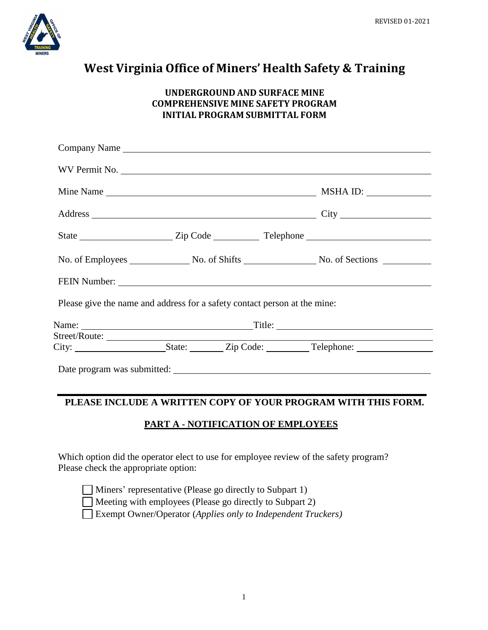

# **West Virginia Office of Miners' Health Safety & Training**

### **UNDERGROUND AND SURFACE MINE COMPREHENSIVE MINE SAFETY PROGRAM INITIAL PROGRAM SUBMITTAL FORM**

|                                                                           |  | Company Name <b>Example 2018</b> Service Service Service Service Service Service Service Service Service Service Service Service Service Service Service Service Service Service Service Service Service Service Service Service Se |
|---------------------------------------------------------------------------|--|-------------------------------------------------------------------------------------------------------------------------------------------------------------------------------------------------------------------------------------|
|                                                                           |  | WV Permit No.                                                                                                                                                                                                                       |
|                                                                           |  |                                                                                                                                                                                                                                     |
|                                                                           |  |                                                                                                                                                                                                                                     |
|                                                                           |  |                                                                                                                                                                                                                                     |
|                                                                           |  |                                                                                                                                                                                                                                     |
|                                                                           |  |                                                                                                                                                                                                                                     |
| Please give the name and address for a safety contact person at the mine: |  |                                                                                                                                                                                                                                     |
|                                                                           |  |                                                                                                                                                                                                                                     |
|                                                                           |  |                                                                                                                                                                                                                                     |
|                                                                           |  |                                                                                                                                                                                                                                     |

### **PLEASE INCLUDE A WRITTEN COPY OF YOUR PROGRAM WITH THIS FORM.**

## **PART A - NOTIFICATION OF EMPLOYEES**

Which option did the operator elect to use for employee review of the safety program? Please check the appropriate option:

|  | Miners' representative (Please go directly to Subpart 1) |  |  |  |
|--|----------------------------------------------------------|--|--|--|
|--|----------------------------------------------------------|--|--|--|

Meeting with employees (Please go directly to Subpart 2)

Exempt Owner/Operator (*Applies only to Independent Truckers)*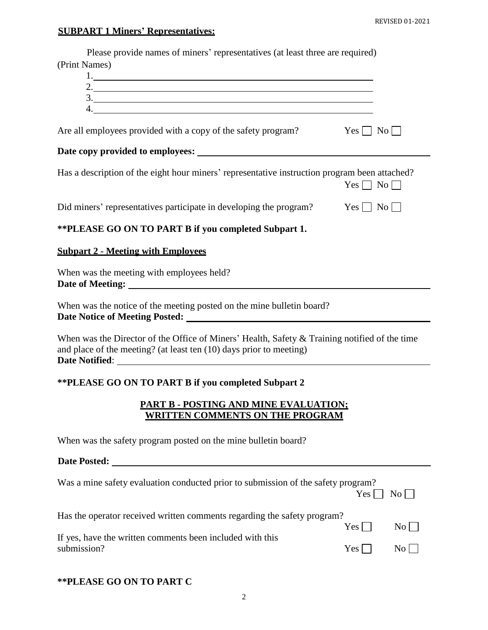# **SUBPART 1 Miners' Representatives:**

| Please provide names of miners' representatives (at least three are required)<br>(Print Names)<br>$\frac{3}{2}$                                                                                                                |  |  |  |
|--------------------------------------------------------------------------------------------------------------------------------------------------------------------------------------------------------------------------------|--|--|--|
| Are all employees provided with a copy of the safety program?<br>$Yes \mid No \mid$                                                                                                                                            |  |  |  |
|                                                                                                                                                                                                                                |  |  |  |
| Has a description of the eight hour miners' representative instruction program been attached?<br>$Yes \Box No \Box$                                                                                                            |  |  |  |
| Did miners' representatives participate in developing the program?<br>$Yes \Box No \Box$                                                                                                                                       |  |  |  |
| ** PLEASE GO ON TO PART B if you completed Subpart 1.                                                                                                                                                                          |  |  |  |
| <b>Subpart 2 - Meeting with Employees</b>                                                                                                                                                                                      |  |  |  |
| When was the meeting with employees held?                                                                                                                                                                                      |  |  |  |
| When was the notice of the meeting posted on the mine bulletin board?                                                                                                                                                          |  |  |  |
| When was the Director of the Office of Miners' Health, Safety $&$ Training notified of the time<br>and place of the meeting? (at least ten (10) days prior to meeting)                                                         |  |  |  |
| <b>**PLEASE GO ON TO PART B if you completed Subpart 2</b>                                                                                                                                                                     |  |  |  |
| <b>PART B - POSTING AND MINE EVALUATION:</b><br><u>WRITTEN COMMENTS ON THE PROGRAM</u>                                                                                                                                         |  |  |  |
| When was the safety program posted on the mine bulletin board?                                                                                                                                                                 |  |  |  |
| Date Posted: Note that the set of the set of the set of the set of the set of the set of the set of the set of the set of the set of the set of the set of the set of the set of the set of the set of the set of the set of t |  |  |  |
| Was a mine safety evaluation conducted prior to submission of the safety program?<br>$No \Box$<br>Yes                                                                                                                          |  |  |  |
| Has the operator received written comments regarding the safety program?<br>$\overline{N_{0}}$<br>Yes                                                                                                                          |  |  |  |

| If yes, have the written comments been included with this |            |                |
|-----------------------------------------------------------|------------|----------------|
| submission?                                               | $Yes \Box$ | N <sub>0</sub> |

### **\*\*PLEASE GO ON TO PART C**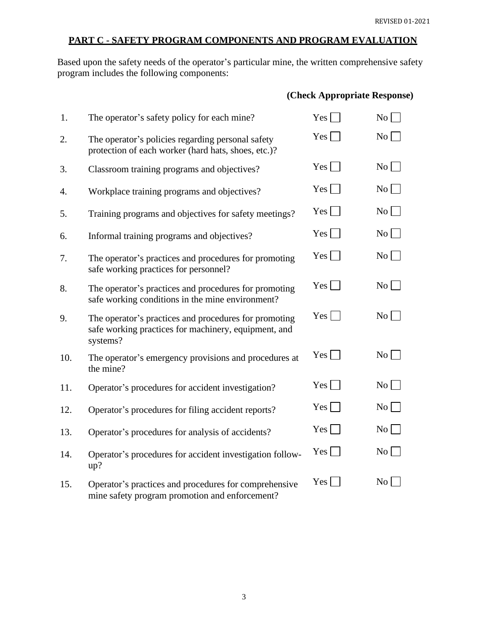### **PART C - SAFETY PROGRAM COMPONENTS AND PROGRAM EVALUATION**

Based upon the safety needs of the operator's particular mine, the written comprehensive safety program includes the following components:

### **(Check Appropriate Response)**

| 1.  | The operator's safety policy for each mine?                                                                               | $Yes \lceil$    | $\overline{N_0}$ |
|-----|---------------------------------------------------------------------------------------------------------------------------|-----------------|------------------|
| 2.  | The operator's policies regarding personal safety<br>protection of each worker (hard hats, shoes, etc.)?                  | $Yes \mid$      | $\overline{N_0}$ |
| 3.  | Classroom training programs and objectives?                                                                               | $Yes$           | No               |
| 4.  | Workplace training programs and objectives?                                                                               | $Yes \mid$      | $\mathrm{No}$    |
| 5.  | Training programs and objectives for safety meetings?                                                                     | $Yes \mid$      | No               |
| 6.  | Informal training programs and objectives?                                                                                | $Yes \Box$      | $\rm{No}$        |
| 7.  | The operator's practices and procedures for promoting<br>safe working practices for personnel?                            | $Yes \mid$      | $\overline{N_0}$ |
| 8.  | The operator's practices and procedures for promoting<br>safe working conditions in the mine environment?                 | $Yes \mid \mid$ | $\overline{N_0}$ |
| 9.  | The operator's practices and procedures for promoting<br>safe working practices for machinery, equipment, and<br>systems? | $Yes \Box$      | $\rm{No}$        |
| 10. | The operator's emergency provisions and procedures at<br>the mine?                                                        | $Yes \mid$      | $\rm{No}$        |
| 11. | Operator's procedures for accident investigation?                                                                         | Yes             | $\rm{No}$        |
| 12. | Operator's procedures for filing accident reports?                                                                        | $Yes \mid$      | $\overline{N_0}$ |
| 13. | Operator's procedures for analysis of accidents?                                                                          | $Yes \mid \mid$ | $\overline{N_0}$ |
| 14. | Operator's procedures for accident investigation follow-<br>up?                                                           | $Yes \Box$      | $No \Box$        |
| 15. | Operator's practices and procedures for comprehensive<br>mine safety program promotion and enforcement?                   | $Yes \mid$      | $\rm{No}$        |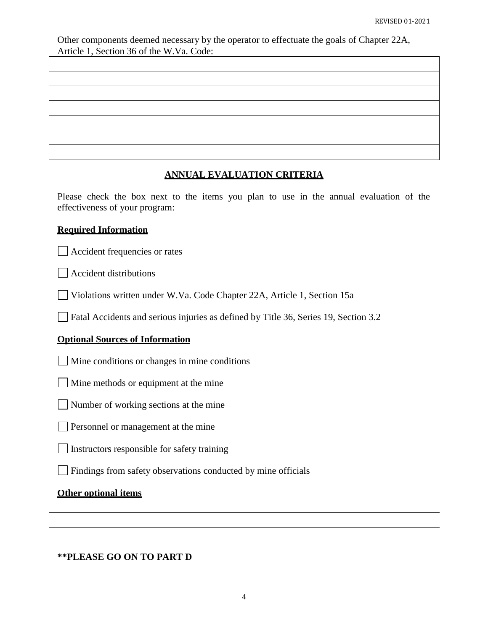Other components deemed necessary by the operator to effectuate the goals of Chapter 22A, Article 1, Section 36 of the W.Va. Code:

### **ANNUAL EVALUATION CRITERIA**

Please check the box next to the items you plan to use in the annual evaluation of the effectiveness of your program:

### **Required Information**

Accident frequencies or rates

Accident distributions

Violations written under W.Va. Code Chapter 22A, Article 1, Section 15a

Fatal Accidents and serious injuries as defined by Title 36, Series 19, Section 3.2

### **Optional Sources of Information**

Mine conditions or changes in mine conditions

Mine methods or equipment at the mine

Number of working sections at the mine

Personnel or management at the mine

 $\Box$  Instructors responsible for safety training

 $\Box$ Findings from safety observations conducted by mine officials

### **Other optional items**

**\*\*PLEASE GO ON TO PART D**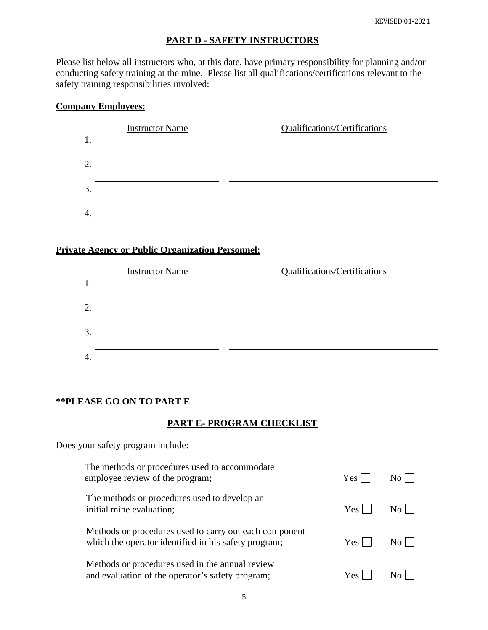### **PART D - SAFETY INSTRUCTORS**

Please list below all instructors who, at this date, have primary responsibility for planning and/or conducting safety training at the mine. Please list all qualifications/certifications relevant to the safety training responsibilities involved:

## **Company Employees:**

### **Private Agency or Public Organization Personnel:**



### **\*\*PLEASE GO ON TO PART E**

### **PART E- PROGRAM CHECKLIST**

Does your safety program include:

| The methods or procedures used to accommodate<br>employee review of the program;                               | Yes |              |
|----------------------------------------------------------------------------------------------------------------|-----|--------------|
| The methods or procedures used to develop an<br>initial mine evaluation;                                       | Yes | $N_{\Omega}$ |
| Methods or procedures used to carry out each component<br>which the operator identified in his safety program; | Yes | $N_{\Omega}$ |
| Methods or procedures used in the annual review<br>and evaluation of the operator's safety program;            | Yes |              |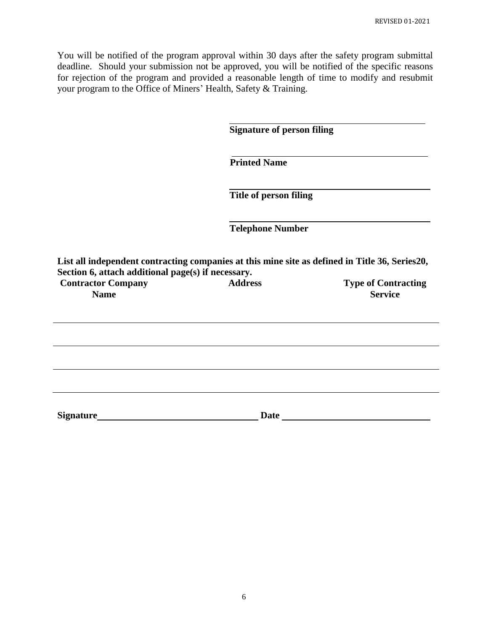You will be notified of the program approval within 30 days after the safety program submittal deadline. Should your submission not be approved, you will be notified of the specific reasons for rejection of the program and provided a reasonable length of time to modify and resubmit your program to the Office of Miners' Health, Safety & Training.

**Signature of person filing**

**Printed Name**

**Title of person filing**

**Telephone Number**

**List all independent contracting companies at this mine site as defined in Title 36, Series20, Section 6, attach additional page(s) if necessary.**

| <b>Contractor Company</b> | <b>Address</b> | <b>Type of Contracting</b> |
|---------------------------|----------------|----------------------------|
| <b>Name</b>               |                | <b>Service</b>             |

| Signature | <b>Date</b> |  |
|-----------|-------------|--|
|           |             |  |
|           |             |  |
|           |             |  |
|           |             |  |
|           |             |  |